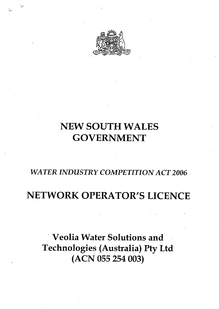

'..:'-•' .

# NEW SOUTH WALES GOVERNMENT

## *WATER INDUSTRY COMPETITION ACT 2006*

## NETWORK OPERATOR'S LICENCE

· Veolia Water Solutions and Technologies (Australia) Pty Ltd (ACN 055 254 003)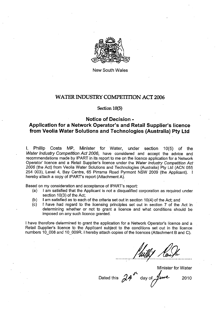

New South Wales

## **WATER INDUSTRY COMPETITION ACT 2006**

#### Section 10(5)

### **Notice of Decision** -

## **Application for a Network Operator's and Retail Supplier's licence from Veolia Water Solutions and Technologies (Australia) Pty Ltd**

Phillip Costa MP, Minister for Water, under section 10(5) of the Water Industry Competition Act 2006, have considered and accept the advice and recommendations made by !PART in its report to me on the licence application for a Network Operator' licence and a Retail Supplier's licence under the Water Industry Competition *Act 2006* (the Act) from Veolia Water Solutions and Technologies (Australia) Ply Ltd (ACN 055 254 003), Level 4, Bay Centre, 65 Pirrama Road Pyrmont NSW 2009 (the Applicant). I hereby attach a copy of IPART's report (Attachment A).

Based on my consideration and acceptance of IPART's report:

- (a) I am satisfied that the Applicant is not a disqualified corporation as required under section 10(3) of the Act;
- (b) I am satisfied as to each of the criteria set out in section 10(4) of the Act; and
- (c) I have had regard to the licensing principles set out in section 7 of the Act in determining whether or not to grant a licence and what conditions should be imposed on any such licence granted.

I have therefore determined to grant the application for a Network Operator's licence and a Retail Supplier's licence to the Applicant subject to the conditions set out in the licence numbers 10\_008 and 10\_009R. I hereby attach copies of the licences (Attachment Band C).

//~~ *£!)* ·······:····/~ ............... ~ ....... .

Minister for Water

Dated this 24<sup>th</sup> day of June 2010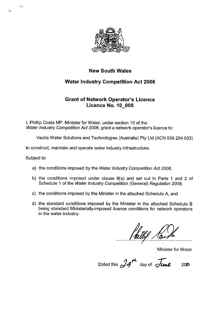

## **New South Wales**

## **Water Industry Competition Act 2006**

## **Grant of Network Operator's Licence Licence No. 10\_008**

I, Phillip Costa MP, Minister for Water, under section 10 of the Water Industry Competition Act 2006, grant a network operator's licence to:

Veolia Water Solutions and Technologies (Australia) Pty Ltd (ACN 055 254 003)

to construct, maintain and operate water industry infrastructure.

Subject to:

,,;,

- a) the conditions imposed by the Water Industry Competition Act 2006,
- b) the conditions imposed under clause 9(a) and set out in Parts 1 and 2 of Schedule 1 of the Water Industry Competition (General) Regulation 2008,
- c) the conditions imposed by the Minister in the attached Schedule A, and
- d) the standard conditions imposed by the Minister in the attached Schedule B being standard Ministerially-imposed licence conditions for network operators in the water industry.

*/hilly /62/0*  $\cdots$   $\cdots$ 

Minister for Water

Dated this  $\mathcal{A}$ <sup>*r*</sup> day of **June** 20*P*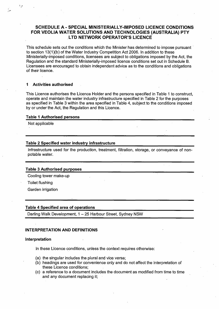## **SCHEDULE A - SPECIAL MINISTERIALLY-IMPOSED LICENCE CONDITIONS FOR VEOLIA WATER SOLUTIONS AND TECHNOLOGIES (AUSTRALIA) PTY .LTD NETWORK OPERATOR'S LICENCE**

This schedule sets out the conditions which the Minister has determined to impose pursuant to section 13(1 )(b) of the Water Industry Competition Act 2006. In addition to these Ministerially-imposed conditions, licensees are subject to obligations imposed by the Act, the Regulation and the standard Ministerially-imposed licence conditions set out in Schedule B. Licensees are encouraged to obtain independent advice as to the conditions and obligations of their licence.

#### **1 Activities authorised**

This Licence authorises the Licence Holder and the persons specified in Table 1 to construct, operate and maintain the water industry infrastructure specified in Table 2 for the purposes as specified in Table 3 within the area specified in Table 4, subject to the conditions imposed by or under the Act, the Regulation and this Licence.

#### **Table 1 Authorised persons**

Not applicable

,, 1.u•

#### **Table 2 Specified water industry infrastructure**

Infrastructure used for the production, treatment, filtration, storage, or conveyance of nonpotable water.

#### **Table 3 Authorised purposes**

Cooling tower make-up

Toilet flushing

Garden irrigation

#### **Table 4 Specified area of operations**

Darling Walk Development, 1 - 25 Harbour Street, Sydney NSW

#### **INTERPRETATION AND DEFINITIONS**

#### **Interpretation**

In these Licence conditions, unless the context requires otherwise:

- (a) the singular includes the plural and vice versa;
- (b) headings are used for convenience only and do not affect the interpretation of these Licence conditions;
- (c) a reference to a document includes the document as modified from time to time and any document replacing it;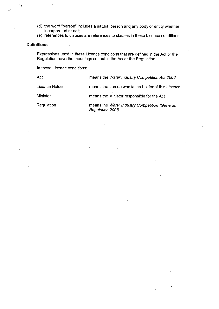- (d) the word "person" includes a natural person and any body or entity whether incorporated or not;
- (e) references to clauses are references to clauses in these Licence conditions.

#### **Definitions**

',.

Expressions used in these Licence conditions that are defined in the Act or the Regulation have the meanings set out in the Act or the Regulation.

In these Licence conditions:

Act

Licence Holder means the person who is the holder of this Licence

Minister

means the Minister responsible for the Act

means the Water Industry Competition Act 2006

**Regulation** 

means the Water Industry Competition (General) Regulation 2008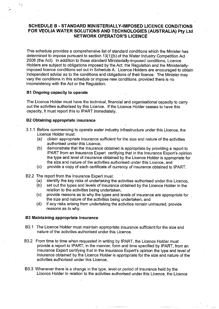## **SCHEDULE B • STANDARD MINISTERIALLY-IMPOSED LICENCE CONDITIONS FOR VEOLIA WATER SOLUTIONS AND TECHNOLOGIES (AUSTRALIA) Pty Ltd NETWORK OPERATOR'S LICENCE**

This schedule provides a comprehensive list of standard conditions which the Minister has determined to impose pursuant to section 13(1 )(b) of the Water Industry Competition Act 2006 (the Act). In addition to these standard Ministerially-imposed conditions, Licence Holders are subject to obligations imposed by the Act, the Regulation and the Ministeriallyimposed licence conditions set out in Schedule A. Licence Holders are encouraged to obtain independent advice as to the conditions and obligations of their licence. The Minister may vary the conditions in this schedule or impose new conditions, provided there is no inconsistency with the Act or the Regulation.

#### **81 Ongoing capacity to operate**

'.,-

The Licence Holder must have the technical, financial and organisational capacity to carry out the activities authorised by this Licence. If the Licence Holder ceases to have this capacity, it must report this to IPART immediately.

#### **82 Obtaining appropriate insurance**

- 3.1.1 Before commencing to operate water industry infrastructure under this Licence, the Licence Holder must:
	- (a) obtain appropriate insurance sufficient for the size and nature of the activities authorised under this Licence,
	- (b) demonstrate that the insurance obtained is appropriate by providing a report to IPART from an Insurance Expert certifying that in the Insurance Expert's opinion the type and level of. insurance obtained by the Licence Holder is appropriate for the size and nature of the activities authorised under this Licence, and
	- (c) provide a copy of each certificate of currency of insurance obtained to IPART.
- B2.2 The report from the Insurance Expert must:
	- (a) identify the key risks of undertaking the activities authorised under this Licence,
	- (b) set out the types and levels of insurance obtained by the Licence Holder in the relation to the activities being undertaken,
	- (c) provide reasons as to why the types and levels of insurance are appropriate for the size and nature of the activities being undertaken, and
	- (d) if any risks arising from undertaking the activities remain uninsured, provide reasons as to why.

#### **83 Maintaining appropriate insurance**

- B3.1 The Licence Holder must maintain appropriate insurance sufficient for the size and nature of the activities authorised under this Licence.
- B3.2 From time to time when requested in writing by IPART, the Licence Holder must provide a report to IPART, in the manner, form and time specified by IPART, from an Insurance Expert certifying that in the Insurance Expert's opinion the type and level of insurance obtained by the Licence Holder is appropriate for the size and nature of the activities authorised under this Licence.
- B3.3 Whenever there is a change in the type, level or period of insurance held by the Licence Holder in relation to the activities authorised under this Licence, the Licence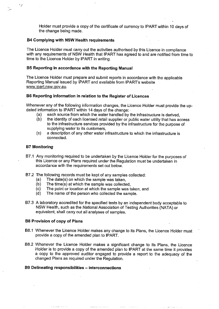Holder must provide a copy of the certificate of currency to IPART within 10 days of the change being made.

#### **84 Complying with NSW Health requirements**

The Licence Holder must carry out the activities authorised by this Licence in compliance with any requirements of NSW Health that !PART has agreed to and are notified from time to time to the Licence Holder by IPART in writing.

#### **85 Reporting in accordance with the Reporting Manual**

The Licence Holder must prepare and submit reports in accordance with the applicable Reporting Manual issued by IPART and available from IPART's website www.ipart.nsw.gov.au.

#### **86 Reporting information in relation to the Register of Licences**

Whenever any of the following information changes, the Licence Holder must provide the updated information to IPART within 14 days of the change:

- (a) each source from which the water handled by the infrastructure is derived,<br>(b) the identity of each licensed retail supplier or public water utility that has ad
- the identity of each licensed retail supplier or public water utility that has access to the infrastructure services provided by the infrastructure for the purpose of supplying water to its customers,
- (c) a description of any other water infrastructure to which the infrastructure is connected.

#### **87 Monitoring**

*(r* 

- B7.1 Any monitoring required to be undertaken by the Licence Holder for the purposes of this Licence or any Plans required under the Regulation must be undertaken in accordance with the requirements set out below.
- B7.2 The following records must be kept of any samples collected:
	- (a) The date(s) on which the sample was taken,
	- (b) The time(s) at which the sample was collected,
	- (c) The point or location at which the sample was taken, and<br>(d) The name of the person who collected the sample.
	- The name of the person who collected the sample.
- B7 .3 A laboratory accredited for the specified tests by an independent body acceptable to NSW Health, such as the National Association of Testing Authorities (NATA) or equivalent, shall carry out all analyses of samples.

#### **88 Provision of copy of Plans**

- B8.1 Whenever the Licence Holder makes any change to its Plans, the Licence Holder must provide a copy of the amended plan to IPART.
- B8.2 Whenever the Licence Holder makes a significant change to its Plans, the Licence Holder is to provide a copy of the amended plan to IPART at the same time it provides a copy to the approved auditor engaged to provide a report to the adequacy of the changed Plans as required under the Regulation.

#### **89 Delineating responsibilities - interconnections**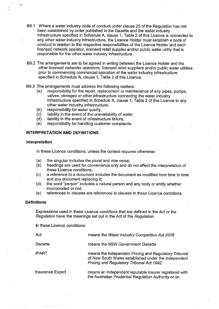- B9.1 Where a water industry code of conduct under clause 25 of the Regulation has not been established by order published in the Gazette and the water industry infrastructure specified in Schedule A, clause 1, Table 2 of this Licence is connected to any other water industry infrastructure, the Licence Holder must establish a code of conduct in relation to the respective responsibilities of the Licence Holder and each licensed network operator, licensed retail supplier and/or public water utility that is responsible for the other water industry infrastructure.
- B9.2 The arrangements are to be agreed in writing between the Licence Holder and the other licensed networks operators, licensed retail suppliers and/or public water utilities prior to commencing commercial operation of the water industry infrastructure specified in Schedule A, clause 1, Table 2 of this Licence.
- B9.3 The arrangements must address the following matters:
	- (a) responsibility for the repair, replacement or maintenance of any pipes, pumps, valves, storages or other infrastructure connecting the water industry infrastructure specified in Schedule A, clause 1, Table 2 of this Licence to any other water industry infrastructure,
	- (b) responsibility for water quality,
	- (c) liability in the event of the unavailability of water,
	- (d) liability in the event of infrastructure failure,
	- (e) responsibility for handling customer complaints.

#### **INTERPRETATION AND DEFINITIONS**

#### **Interpretation**

In these Licence conditions, unless the context requires otherwise:

- (a) the singular includes the plural and vice versa;
- (b) headings are used for convenience only and do not affect the interpretation of these Licence conditions;
- (c) a reference to a document includes the document as modified from time to time and any document replacing it;
- (d) the word "person" includes a natural person and any body or entity whether incorporated or not;
- (e) references to clauses are references to clauses in these Licence conditions.

#### **Definitions**

Expressions used in these Licence conditions that are defined in the Act or the Regulation have the meanings set out in the Act of the Regulation.

In these Licence conditions:

| Act                     | means the Water Industry Competition Act 2006                                                                                                             |
|-------------------------|-----------------------------------------------------------------------------------------------------------------------------------------------------------|
| Gazette                 | means the NSW Government Gazette                                                                                                                          |
| <b>IPART</b>            | means the Independent Pricing and Regulatory Tribunal<br>of New South Wales established under the Independent<br>Pricing and Regulatory Tribunal Act 1992 |
| <b>Insurance Expert</b> | means an independent reputable insurer registered with<br>the Australian Prudential Regulation Authority or an                                            |